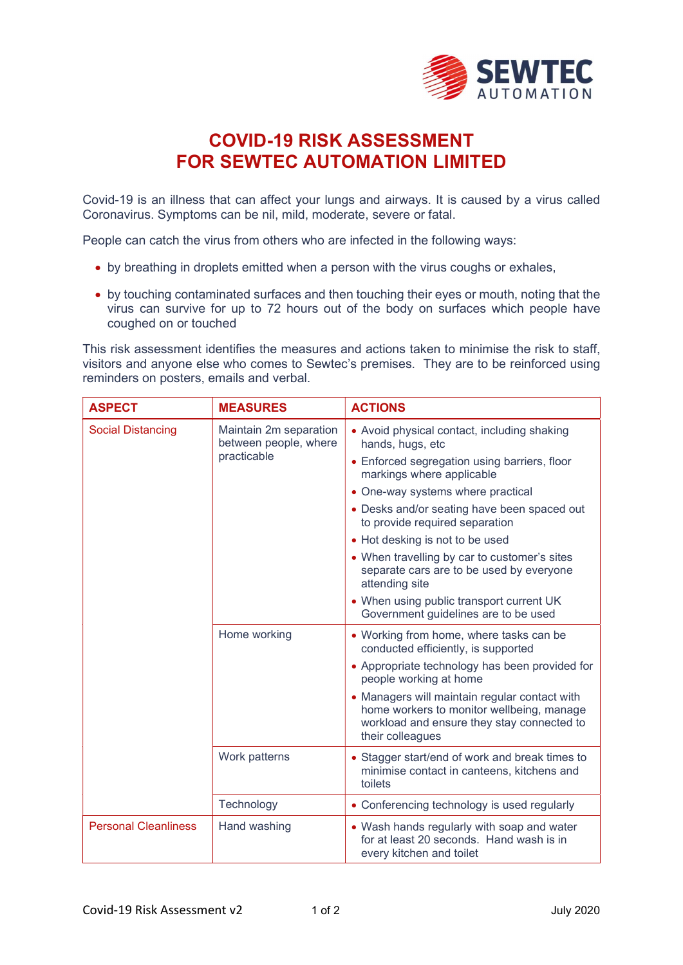

## COVID-19 RISK ASSESSMENT FOR SEWTEC AUTOMATION LIMITED

Covid-19 is an illness that can affect your lungs and airways. It is caused by a virus called Coronavirus. Symptoms can be nil, mild, moderate, severe or fatal.

People can catch the virus from others who are infected in the following ways:

- by breathing in droplets emitted when a person with the virus coughs or exhales,
- by touching contaminated surfaces and then touching their eyes or mouth, noting that the virus can survive for up to 72 hours out of the body on surfaces which people have coughed on or touched

This risk assessment identifies the measures and actions taken to minimise the risk to staff, visitors and anyone else who comes to Sewtec's premises. They are to be reinforced using reminders on posters, emails and verbal.

| <b>ASPECT</b>               | <b>MEASURES</b>                                                | <b>ACTIONS</b>                                                                                                                                               |
|-----------------------------|----------------------------------------------------------------|--------------------------------------------------------------------------------------------------------------------------------------------------------------|
| <b>Social Distancing</b>    | Maintain 2m separation<br>between people, where<br>practicable | • Avoid physical contact, including shaking<br>hands, hugs, etc                                                                                              |
|                             |                                                                | • Enforced segregation using barriers, floor<br>markings where applicable                                                                                    |
|                             |                                                                | • One-way systems where practical                                                                                                                            |
|                             |                                                                | • Desks and/or seating have been spaced out<br>to provide required separation                                                                                |
|                             |                                                                | • Hot desking is not to be used                                                                                                                              |
|                             |                                                                | • When travelling by car to customer's sites<br>separate cars are to be used by everyone<br>attending site                                                   |
|                             |                                                                | • When using public transport current UK<br>Government guidelines are to be used                                                                             |
|                             | Home working                                                   | • Working from home, where tasks can be<br>conducted efficiently, is supported                                                                               |
|                             |                                                                | • Appropriate technology has been provided for<br>people working at home                                                                                     |
|                             |                                                                | • Managers will maintain regular contact with<br>home workers to monitor wellbeing, manage<br>workload and ensure they stay connected to<br>their colleagues |
|                             | Work patterns                                                  | • Stagger start/end of work and break times to<br>minimise contact in canteens, kitchens and<br>toilets                                                      |
|                             | Technology                                                     | • Conferencing technology is used regularly                                                                                                                  |
| <b>Personal Cleanliness</b> | Hand washing                                                   | • Wash hands regularly with soap and water<br>for at least 20 seconds. Hand wash is in<br>every kitchen and toilet                                           |